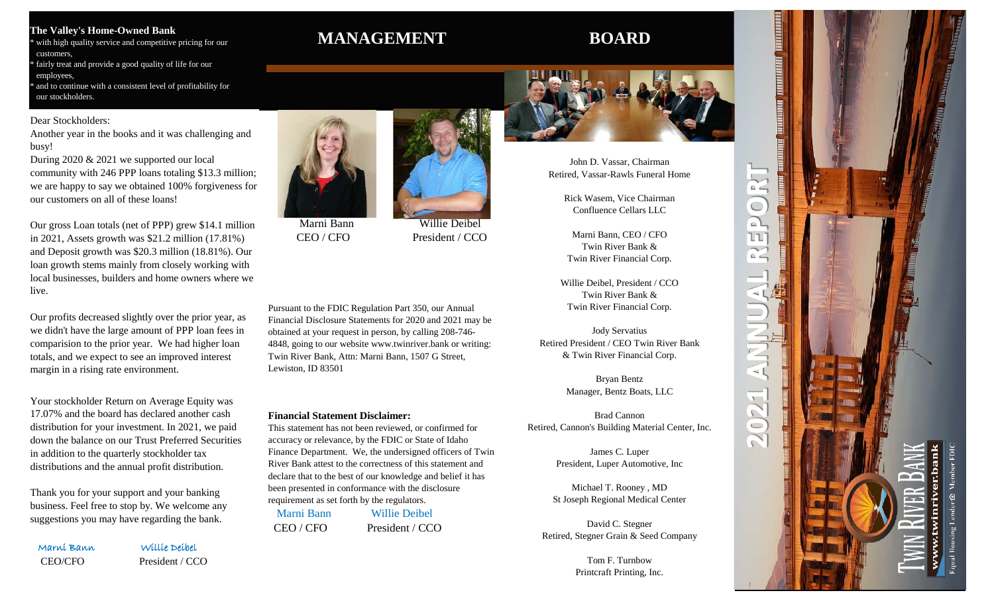# **The Valley's Home-Owned Bank**

with high quality service and competitive pricing for our customers, fairly treat and provide a good quality of life for our

 employees, and to continue with a consistent level of profitability for

our stockholders.

# Dear Stockholders:

Another year in the books and it was challenging and busy!

During 2020 & 2021 we supported our local community with 246 PPP loans totaling \$13.3 million; we are happy to say we obtained 100% forgiveness for our customers on all of these loans!

Our gross Loan totals (net of PPP) grew \$14.1 million in 2021, Assets growth was \$21.2 million (17.81%) and Deposit growth was \$20.3 million (18.81%). Our loan growth stems mainly from closely working with local businesses, builders and home owners where we live.

Our profits decreased slightly over the prior year, as we didn't have the large amount of PPP loan fees in comparision to the prior year. We had higher loan totals, and we expect to see an improved interest margin in a rising rate environment.

Your stockholder Return on Average Equity was 17.07% and the board has declared another cash distribution for your investment. In 2021, we paid down the balance on our Trust Preferred Securities in addition to the quarterly stockholder tax distributions and the annual profit distribution.

Thank you for your support and your banking business. Feel free to stop by. We welcome any suggestions you may have regarding the bank.

Marni Bann Willie Deibel

CEO/CFO President / CCO

# **MANAGEMENT BOARD**



Marni Bann Willie Deibel CEO / CFO President / CCO

Pursuant to the FDIC Regulation Part 350, our Annual Financial Disclosure Statements for 2020 and 2021 may be obtained at your request in person, by calling 208-746- 4848, going to our website www.twinriver.bank or writing: Twin River Bank, Attn: Marni Bann, 1507 G Street, Lewiston, ID 83501

## **Financial Statement Disclaimer:**

This statement has not been reviewed, or confirmed for accuracy or relevance, by the FDIC or State of Idaho Finance Department. We, the undersigned officers of Twin River Bank attest to the correctness of this statement and declare that to the best of our knowledge and belief it has been presented in conformance with the disclosure requirement as set forth by the regulators. Marni Bann Willie Deibel CEO / CFO President / CCO



John D. Vassar, Chairman Retired, Vassar-Rawls Funeral Home

> Rick Wasem, Vice Chairman Confluence Cellars LLC

Marni Bann, CEO / CFO Twin River Bank & Twin River Financial Corp.

Willie Deibel, President / CCO Twin River Bank & Twin River Financial Corp.

Jody Servatius Retired President / CEO Twin River Bank & Twin River Financial Corp.

> Bryan Bentz Manager, Bentz Boats, LLC

Brad Cannon Retired, Cannon's Building Material Center, Inc.

> James C. Luper President, Luper Automotive, Inc

Michael T. Rooney , MD St Joseph Regional Medical Center

David C. Stegner Retired, Stegner Grain & Seed Company

> Tom F. Turnbow Printcraft Printing, Inc.